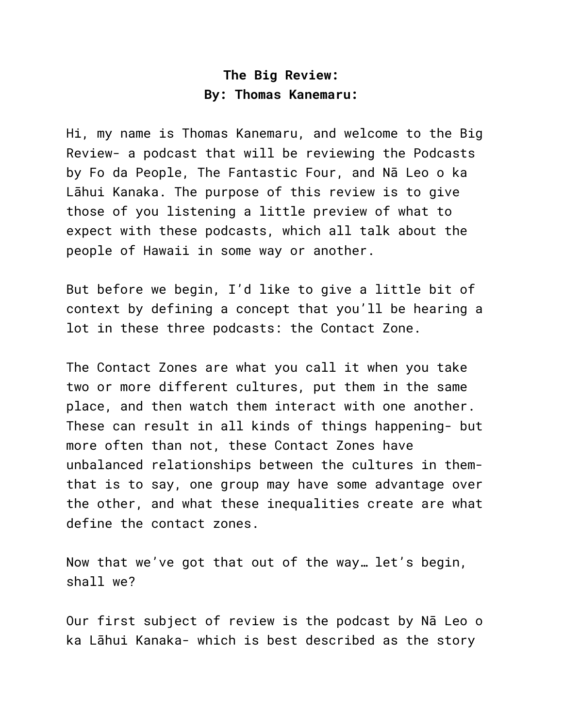## **The Big Review: By: Thomas Kanemaru:**

Hi, my name is Thomas Kanemaru, and welcome to the Big Review- a podcast that will be reviewing the Podcasts by Fo da People, The Fantastic Four, and Nā Leo o ka Lāhui Kanaka. The purpose of this review is to give those of you listening a little preview of what to expect with these podcasts, which all talk about the people of Hawaii in some way or another.

But before we begin, I'd like to give a little bit of context by defining a concept that you'll be hearing a lot in these three podcasts: the Contact Zone.

The Contact Zones are what you call it when you take two or more different cultures, put them in the same place, and then watch them interact with one another. These can result in all kinds of things happening- but more often than not, these Contact Zones have unbalanced relationships between the cultures in themthat is to say, one group may have some advantage over the other, and what these inequalities create are what define the contact zones.

Now that we've got that out of the way… let's begin, shall we?

Our first subject of review is the podcast by Nā Leo o ka Lāhui Kanaka- which is best described as the story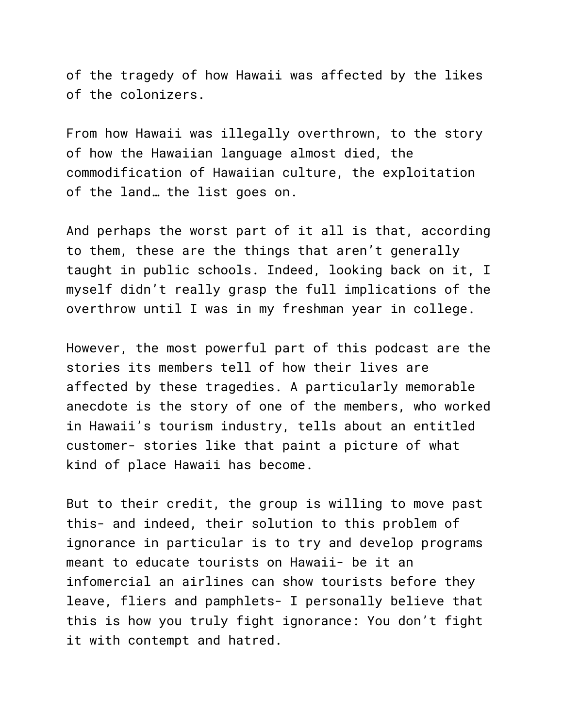of the tragedy of how Hawaii was affected by the likes of the colonizers.

From how Hawaii was illegally overthrown, to the story of how the Hawaiian language almost died, the commodification of Hawaiian culture, the exploitation of the land… the list goes on.

And perhaps the worst part of it all is that, according to them, these are the things that aren't generally taught in public schools. Indeed, looking back on it, I myself didn't really grasp the full implications of the overthrow until I was in my freshman year in college.

However, the most powerful part of this podcast are the stories its members tell of how their lives are affected by these tragedies. A particularly memorable anecdote is the story of one of the members, who worked in Hawaii's tourism industry, tells about an entitled customer- stories like that paint a picture of what kind of place Hawaii has become.

But to their credit, the group is willing to move past this- and indeed, their solution to this problem of ignorance in particular is to try and develop programs meant to educate tourists on Hawaii- be it an infomercial an airlines can show tourists before they leave, fliers and pamphlets- I personally believe that this is how you truly fight ignorance: You don't fight it with contempt and hatred.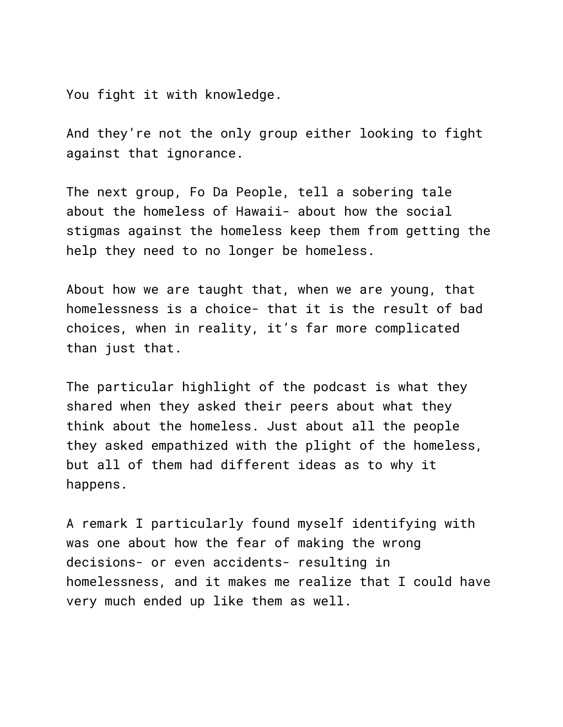You fight it with knowledge.

And they're not the only group either looking to fight against that ignorance.

The next group, Fo Da People, tell a sobering tale about the homeless of Hawaii- about how the social stigmas against the homeless keep them from getting the help they need to no longer be homeless.

About how we are taught that, when we are young, that homelessness is a choice- that it is the result of bad choices, when in reality, it's far more complicated than just that.

The particular highlight of the podcast is what they shared when they asked their peers about what they think about the homeless. Just about all the people they asked empathized with the plight of the homeless, but all of them had different ideas as to why it happens.

A remark I particularly found myself identifying with was one about how the fear of making the wrong decisions- or even accidents- resulting in homelessness, and it makes me realize that I could have very much ended up like them as well.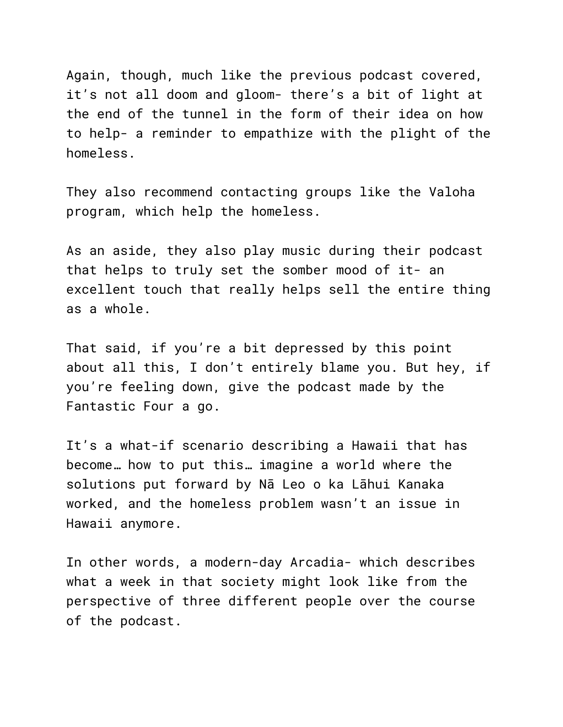Again, though, much like the previous podcast covered, it's not all doom and gloom- there's a bit of light at the end of the tunnel in the form of their idea on how to help- a reminder to empathize with the plight of the homeless.

They also recommend contacting groups like the Valoha program, which help the homeless.

As an aside, they also play music during their podcast that helps to truly set the somber mood of it- an excellent touch that really helps sell the entire thing as a whole.

That said, if you're a bit depressed by this point about all this, I don't entirely blame you. But hey, if you're feeling down, give the podcast made by the Fantastic Four a go.

It's a what-if scenario describing a Hawaii that has become… how to put this… imagine a world where the solutions put forward by Nā Leo o ka Lāhui Kanaka worked, and the homeless problem wasn't an issue in Hawaii anymore.

In other words, a modern-day Arcadia- which describes what a week in that society might look like from the perspective of three different people over the course of the podcast.